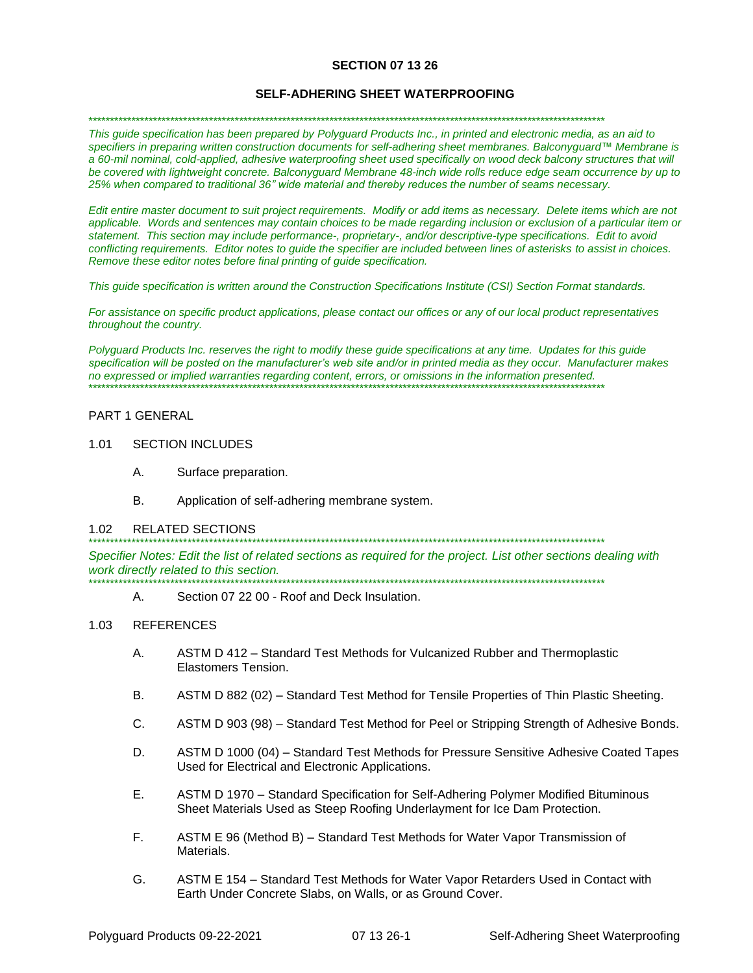## **SECTION 07 13 26**

### **SELF-ADHERING SHEET WATERPROOFING**

\*\*\*\*\*\*\*\*\*\*\*\*\*\*\*\*\*\*\*\*\*\*\*\*\*\*\*\*\*\*\*\*\*\*\*\*\*\*\*\*\*\*\*\*\*\*\*\*\*\*\*\*\*\*\*\*\*\*\*\*\*\*\*\*\*\*\*\*\*\*\*\*\*\*\*\*\*\*\*\*\*\*\*\*\*\*\*\*\*\*\*\*\*\*\*\*\*\*\*\*\*\*\*\*\*\*\*\*\*\*\*\*\*\*\*\*\*\*\*\*

*This guide specification has been prepared by Polyguard Products Inc., in printed and electronic media, as an aid to specifiers in preparing written construction documents for self-adhering sheet membranes. Balconyguard™ Membrane is a 60-mil nominal, cold-applied, adhesive waterproofing sheet used specifically on wood deck balcony structures that will be covered with lightweight concrete. Balconyguard Membrane 48-inch wide rolls reduce edge seam occurrence by up to 25% when compared to traditional 36" wide material and thereby reduces the number of seams necessary.*

*Edit entire master document to suit project requirements. Modify or add items as necessary. Delete items which are not applicable. Words and sentences may contain choices to be made regarding inclusion or exclusion of a particular item or statement. This section may include performance-, proprietary-, and/or descriptive-type specifications. Edit to avoid conflicting requirements. Editor notes to guide the specifier are included between lines of asterisks to assist in choices. Remove these editor notes before final printing of guide specification.*

*This guide specification is written around the Construction Specifications Institute (CSI) Section Format standards.* 

*For assistance on specific product applications, please contact our offices or any of our local product representatives throughout the country.* 

*Polyguard Products Inc. reserves the right to modify these guide specifications at any time. Updates for this guide specification will be posted on the manufacturer's web site and/or in printed media as they occur. Manufacturer makes no expressed or implied warranties regarding content, errors, or omissions in the information presented.* \*\*\*\*\*\*\*\*\*\*\*\*\*\*\*\*\*\*\*\*\*\*\*\*\*\*\*\*\*\*\*\*\*\*\*\*\*\*\*\*\*\*\*\*\*\*\*\*\*\*\*\*\*\*\*\*\*\*\*\*\*\*\*\*\*\*\*\*\*\*\*\*\*\*\*\*\*\*\*\*\*\*\*\*\*\*\*\*\*\*\*\*\*\*\*\*\*\*\*\*\*\*\*\*\*\*\*\*\*\*\*\*\*\*\*\*\*\*\*\*

### PART 1 GENERAL

- 1.01 SECTION INCLUDES
	- A. Surface preparation.
	- B. Application of self-adhering membrane system.

#### 1.02 RELATED SECTIONS

\*\*\*\*\*\*\*\*\*\*\*\*\*\*\*\*\*\*\*\*\*\*\*\*\*\*\*\*\*\*\*\*\*\*\*\*\*\*\*\*\*\*\*\*\*\*\*\*\*\*\*\*\*\*\*\*\*\*\*\*\*\*\*\*\*\*\*\*\*\*\*\*\*\*\*\*\*\*\*\*\*\*\*\*\*\*\*\*\*\*\*\*\*\*\*\*\*\*\*\*\*\*\*\*\*\*\*\*\*\*\*\*\*\*\*\*\*\*\*\*

*Specifier Notes: Edit the list of related sections as required for the project. List other sections dealing with work directly related to this section.* \*\*\*\*\*\*\*\*\*\*\*\*\*\*\*\*\*\*\*\*\*\*\*\*\*\*\*\*\*\*\*\*\*\*\*\*\*\*\*\*\*\*\*\*\*\*\*\*\*\*\*\*\*\*\*\*\*\*\*\*\*\*\*\*\*\*\*\*\*\*\*\*\*\*\*\*\*\*\*\*\*\*\*\*\*\*\*\*\*\*\*\*\*\*\*\*\*\*\*\*\*\*\*\*\*\*\*\*\*\*\*\*\*\*\*\*\*\*\*\*

A. Section 07 22 00 - Roof and Deck Insulation.

#### 1.03 REFERENCES

- A. ASTM D 412 Standard Test Methods for Vulcanized Rubber and Thermoplastic Elastomers Tension.
- B. ASTM D 882 (02) Standard Test Method for Tensile Properties of Thin Plastic Sheeting.
- C. ASTM D 903 (98) Standard Test Method for Peel or Stripping Strength of Adhesive Bonds.
- D. ASTM D 1000 (04) Standard Test Methods for Pressure Sensitive Adhesive Coated Tapes Used for Electrical and Electronic Applications.
- E. ASTM D 1970 Standard Specification for Self-Adhering Polymer Modified Bituminous Sheet Materials Used as Steep Roofing Underlayment for Ice Dam Protection.
- F. ASTM E 96 (Method B) Standard Test Methods for Water Vapor Transmission of **Materials**
- G. ASTM E 154 Standard Test Methods for Water Vapor Retarders Used in Contact with Earth Under Concrete Slabs, on Walls, or as Ground Cover.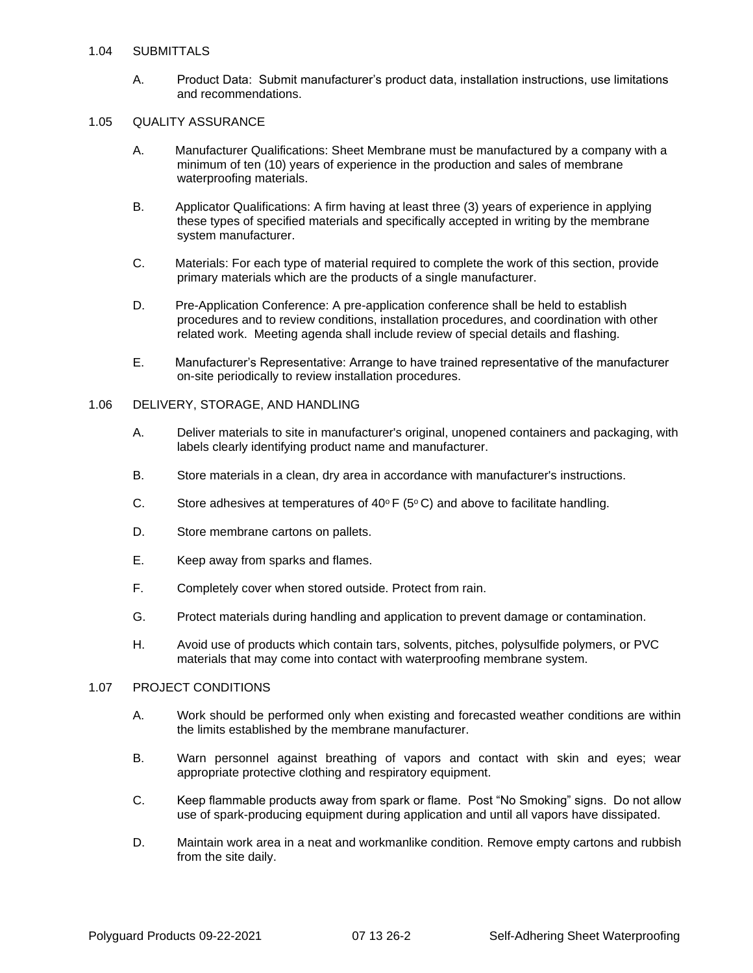## 1.04 SUBMITTALS

A. Product Data: Submit manufacturer's product data, installation instructions, use limitations and recommendations.

# 1.05 QUALITY ASSURANCE

- A. Manufacturer Qualifications: Sheet Membrane must be manufactured by a company with a minimum of ten (10) years of experience in the production and sales of membrane waterproofing materials.
- B. Applicator Qualifications: A firm having at least three (3) years of experience in applying these types of specified materials and specifically accepted in writing by the membrane system manufacturer.
- C. Materials: For each type of material required to complete the work of this section, provide primary materials which are the products of a single manufacturer.
- D. Pre-Application Conference: A pre-application conference shall be held to establish procedures and to review conditions, installation procedures, and coordination with other related work. Meeting agenda shall include review of special details and flashing.
- E. Manufacturer's Representative: Arrange to have trained representative of the manufacturer on-site periodically to review installation procedures.

### 1.06 DELIVERY, STORAGE, AND HANDLING

- A. Deliver materials to site in manufacturer's original, unopened containers and packaging, with labels clearly identifying product name and manufacturer.
- B. Store materials in a clean, dry area in accordance with manufacturer's instructions.
- C. Store adhesives at temperatures of 40 $\circ$  F (5 $\circ$  C) and above to facilitate handling.
- D. Store membrane cartons on pallets.
- E. Keep away from sparks and flames.
- F. Completely cover when stored outside. Protect from rain.
- G. Protect materials during handling and application to prevent damage or contamination.
- H. Avoid use of products which contain tars, solvents, pitches, polysulfide polymers, or PVC materials that may come into contact with waterproofing membrane system.

## 1.07 PROJECT CONDITIONS

- A. Work should be performed only when existing and forecasted weather conditions are within the limits established by the membrane manufacturer.
- B. Warn personnel against breathing of vapors and contact with skin and eyes; wear appropriate protective clothing and respiratory equipment.
- C. Keep flammable products away from spark or flame. Post "No Smoking" signs. Do not allow use of spark-producing equipment during application and until all vapors have dissipated.
- D. Maintain work area in a neat and workmanlike condition. Remove empty cartons and rubbish from the site daily.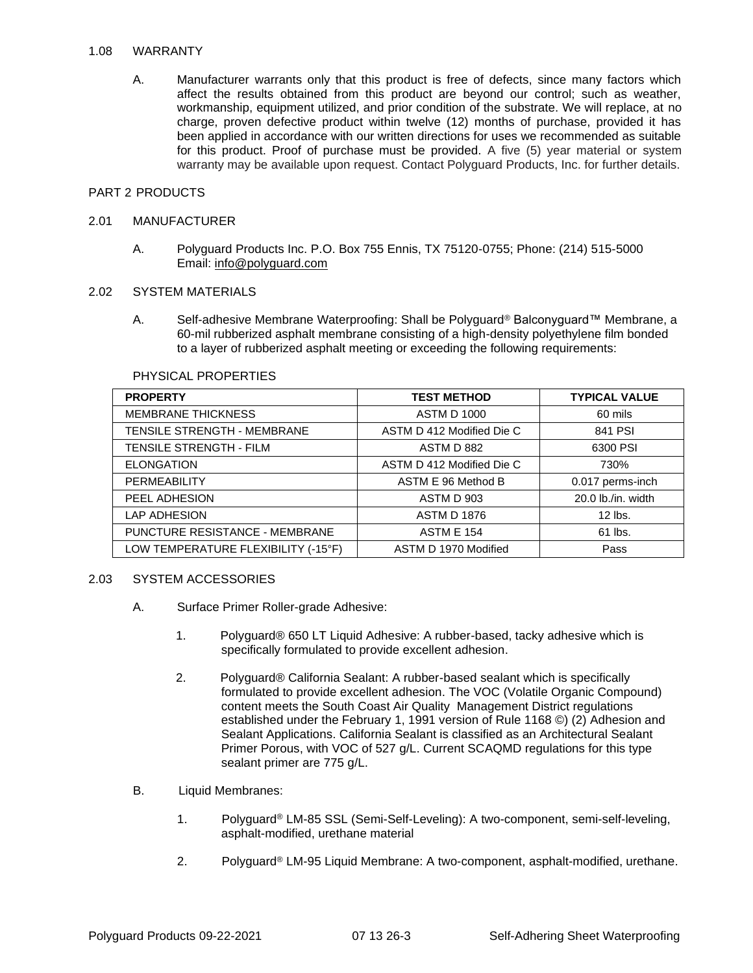### 1.08 WARRANTY

A. Manufacturer warrants only that this product is free of defects, since many factors which affect the results obtained from this product are beyond our control; such as weather, workmanship, equipment utilized, and prior condition of the substrate. We will replace, at no charge, proven defective product within twelve (12) months of purchase, provided it has been applied in accordance with our written directions for uses we recommended as suitable for this product. Proof of purchase must be provided. A five (5) year material or system warranty may be available upon request. Contact Polyguard Products, Inc. for further details.

## PART 2 PRODUCTS

### 2.01 MANUFACTURER

A. Polyguard Products Inc. P.O. Box 755 Ennis, TX 75120-0755; Phone: (214) 515-5000 Email: [info@polyguard.com](mailto:info@polyguard.com)

# 2.02 SYSTEM MATERIALS

A. Self-adhesive Membrane Waterproofing: Shall be Polyguard® Balconyguard™ Membrane, a 60-mil rubberized asphalt membrane consisting of a high-density polyethylene film bonded to a layer of rubberized asphalt meeting or exceeding the following requirements:

| <b>PROPERTY</b>                     | <b>TEST METHOD</b>        | <b>TYPICAL VALUE</b> |
|-------------------------------------|---------------------------|----------------------|
| <b>MEMBRANE THICKNESS</b>           | <b>ASTM D 1000</b>        | 60 mils              |
| <b>TENSILE STRENGTH - MEMBRANE</b>  | ASTM D 412 Modified Die C | 841 PSI              |
| <b>TENSILE STRENGTH - FILM</b>      | ASTM D 882                | 6300 PSI             |
| <b>ELONGATION</b>                   | ASTM D 412 Modified Die C | 730%                 |
| PERMEABILITY                        | ASTM E 96 Method B        | 0.017 perms-inch     |
| PEEL ADHESION                       | ASTM D 903                | 20.0 lb./in. width   |
| <b>LAP ADHESION</b>                 | <b>ASTM D 1876</b>        | $12$ lbs.            |
| PUNCTURE RESISTANCE - MEMBRANE      | <b>ASTM E 154</b>         | 61 lbs.              |
| LOW TEMPERATURE FLEXIBILITY (-15°F) | ASTM D 1970 Modified      | Pass                 |

#### PHYSICAL PROPERTIES

## 2.03 SYSTEM ACCESSORIES

- A. Surface Primer Roller-grade Adhesive:
	- 1. Polyguard® 650 LT Liquid Adhesive: A rubber-based, tacky adhesive which is specifically formulated to provide excellent adhesion.
	- 2. Polyguard® California Sealant: A rubber-based sealant which is specifically formulated to provide excellent adhesion. The VOC (Volatile Organic Compound) content meets the South Coast Air Quality Management District regulations established under the February 1, 1991 version of Rule 1168 ©) (2) Adhesion and Sealant Applications. California Sealant is classified as an Architectural Sealant Primer Porous, with VOC of 527 g/L. Current SCAQMD regulations for this type sealant primer are 775 g/L.
- B. Liquid Membranes:
	- 1. Polyguard® LM-85 SSL (Semi-Self-Leveling): A two-component, semi-self-leveling, asphalt-modified, urethane material
	- 2. Polyguard® LM-95 Liquid Membrane: A two-component, asphalt-modified, urethane.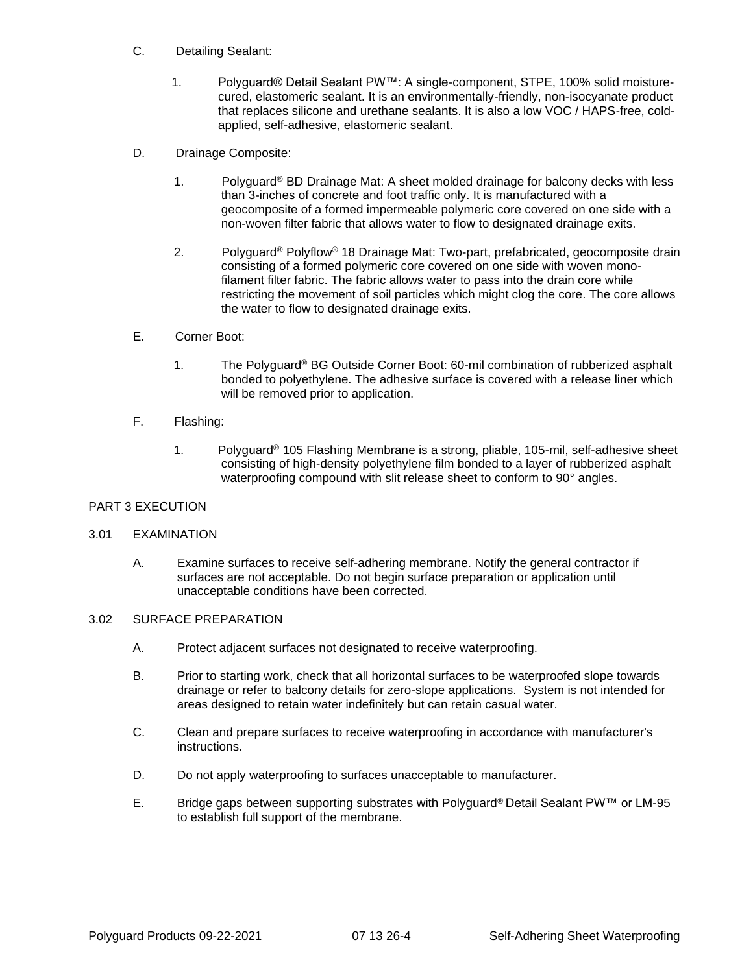- C. Detailing Sealant:
	- 1. Polyguard® Detail Sealant PW™: A single-component, STPE, 100% solid moisturecured, elastomeric sealant. It is an environmentally-friendly, non-isocyanate product that replaces silicone and urethane sealants. It is also a low VOC / HAPS-free, coldapplied, self-adhesive, elastomeric sealant.
- D. Drainage Composite:
	- 1. Polyguard® BD Drainage Mat: A sheet molded drainage for balcony decks with less than 3-inches of concrete and foot traffic only. It is manufactured with a geocomposite of a formed impermeable polymeric core covered on one side with a non-woven filter fabric that allows water to flow to designated drainage exits.
	- 2. Polyguard® Polyflow® 18 Drainage Mat: Two-part, prefabricated, geocomposite drain consisting of a formed polymeric core covered on one side with woven monofilament filter fabric. The fabric allows water to pass into the drain core while restricting the movement of soil particles which might clog the core. The core allows the water to flow to designated drainage exits.
- E. Corner Boot:
	- 1. The Polyguard® BG Outside Corner Boot: 60-mil combination of rubberized asphalt bonded to polyethylene. The adhesive surface is covered with a release liner which will be removed prior to application.
- F. Flashing:
	- 1. Polyguard® 105 Flashing Membrane is a strong, pliable, 105-mil, self-adhesive sheet consisting of high-density polyethylene film bonded to a layer of rubberized asphalt waterproofing compound with slit release sheet to conform to 90° angles.

## PART 3 EXECUTION

## 3.01 EXAMINATION

 A. Examine surfaces to receive self-adhering membrane. Notify the general contractor if surfaces are not acceptable. Do not begin surface preparation or application until unacceptable conditions have been corrected.

## 3.02 SURFACE PREPARATION

- A. Protect adjacent surfaces not designated to receive waterproofing.
- B. Prior to starting work, check that all horizontal surfaces to be waterproofed slope towards drainage or refer to balcony details for zero-slope applications. System is not intended for areas designed to retain water indefinitely but can retain casual water.
- C. Clean and prepare surfaces to receive waterproofing in accordance with manufacturer's instructions.
- D. Do not apply waterproofing to surfaces unacceptable to manufacturer.
- E. Bridge gaps between supporting substrates with Polyguard® Detail Sealant PW™ or LM-95 to establish full support of the membrane.